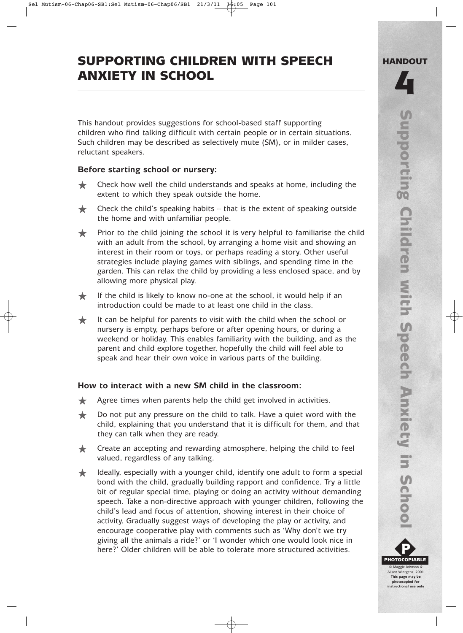# SUPPORTING CHILDREN WITH SPEECH ANXIETY IN SCHOOL

This handout provides suggestions for school-based staff supporting children who find talking difficult with certain people or in certain situations. Such children may be described as selectively mute (SM), or in milder cases, reluctant speakers.

## **Before starting school or nursery:**

- ★ Check how well the child understands and speaks at home, including the extent to which they speak outside the home.
- $\triangle$  Check the child's speaking habits that is the extent of speaking outside the home and with unfamiliar people.
- ★ Prior to the child joining the school it is very helpful to familiarise the child with an adult from the school, by arranging a home visit and showing an interest in their room or toys, or perhaps reading a story. Other useful strategies include playing games with siblings, and spending time in the garden. This can relax the child by providing a less enclosed space, and by allowing more physical play.
- If the child is likely to know no-one at the school, it would help if an introduction could be made to at least one child in the class.
- $\bigstar$  It can be helpful for parents to visit with the child when the school or nursery is empty, perhaps before or after opening hours, or during a weekend or holiday. This enables familiarity with the building, and as the parent and child explore together, hopefully the child will feel able to speak and hear their own voice in various parts of the building.

## **How to interact with a new SM child in the classroom:**

- **★** Agree times when parents help the child get involved in activities.
- ◆ Do not put any pressure on the child to talk. Have a quiet word with the child, explaining that you understand that it is difficult for them, and that they can talk when they are ready.
- **★** Create an accepting and rewarding atmosphere, helping the child to feel valued, regardless of any talking.
- ★ Ideally, especially with a younger child, identify one adult to form a special bond with the child, gradually building rapport and confidence. Try a little bit of regular special time, playing or doing an activity without demanding speech. Take a non-directive approach with younger children, following the child's lead and focus of attention, showing interest in their choice of activity. Gradually suggest ways of developing the play or activity, and encourage cooperative play with comments such as 'Why don't we try giving all the animals a ride?' or 'I wonder which one would look nice in here?' Older children will be able to tolerate more structured activities.



**photocopied for instructional use only**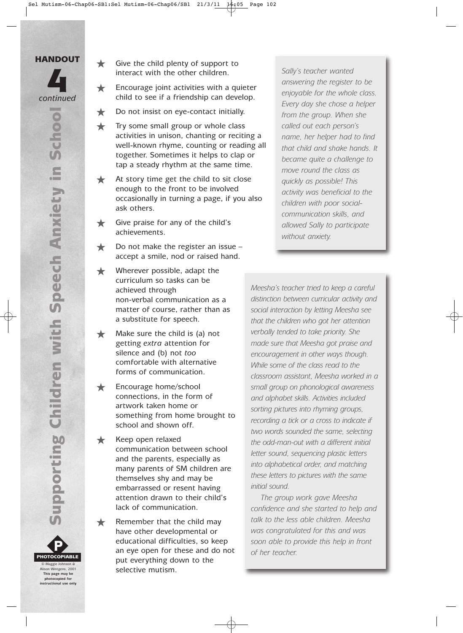

- $\bigstar$  Encourage joint activities with a quieter interact with the other children.<br>
Encourage joint activities with a quieter<br>
ontinued<br>
the register<br>
ontinued<br>
the see if a friendship can develop.
	- ★ Do not insist on eye-contact initially.
	- $\bigstar$  Try some small group or whole class activities in unison, chanting or reciting a well-known rhyme, counting or reading all together. Sometimes it helps to clap or tap a steady rhythm at the same time.
	- **★** At story time get the child to sit close enough to the front to be involved occasionally in turning a page, if you also ask others.
	- ★ Give praise for any of the child's achievements.
	- $\bigstar$  Do not make the register an issue accept a smile, nod or raised hand.
	- Wherever possible, adapt the curriculum so tasks can be achieved through non-verbal communication as a matter of course, rather than as a substitute for speech.
	- $\bigstar$  Make sure the child is (a) not getting *extra* attention for silence and (b) not *too* comfortable with alternative forms of communication.
	- Encourage home/school connections, in the form of artwork taken home or something from home brought to school and shown off.
	- **★** Keep open relaxed communication between school and the parents, especially as many parents of SM children are themselves shy and may be embarrassed or resent having attention drawn to their child's lack of communication.

 $\bigstar$  Remember that the child may have other developmental or educational difficulties, so keep an eye open for these and do not put everything down to the selective mutism.

*answering the register to be enjoyable for the whole class. Every day she chose a helper from the group. When she called out each person's name, her helper had to find that child and shake hands. It became quite a challenge to move round the class as quickly as possible! This activity was beneficial to the children with poor socialcommunication skills, and allowed Sally to participate without anxiety.*

*Meesha's teacher tried to keep a careful distinction between curricular activity and social interaction by letting Meesha see that the children who got her attention verbally tended to take priority. She made sure that Meesha got praise and encouragement in other ways though. While some of the class read to the classroom assistant, Meesha worked in a small group on phonological awareness and alphabet skills. Activities included sorting pictures into rhyming groups, recording a tick or a cross to indicate if two words sounded the same, selecting the odd-man-out with a different initial letter sound, sequencing plastic letters into alphabetical order, and matching these letters to pictures with the same initial sound.* 

*The group work gave Meesha confidence and she started to help and talk to the less able children. Meesha was congratulated for this and was soon able to provide this help in front of her teacher.*



P PHOTOCOPIABLE